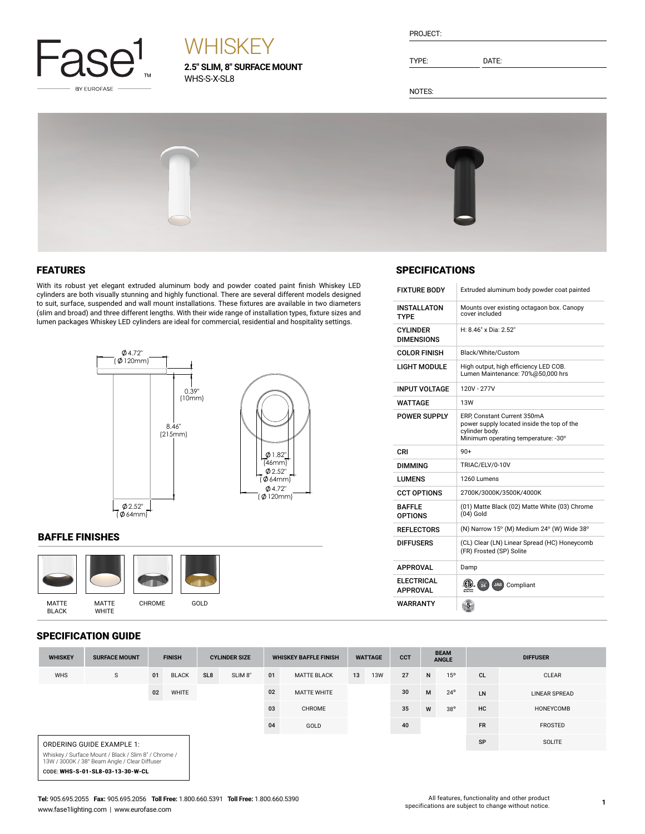

# **WHISKEY**

**2.5" SLIM, 8" SURFACE MOUNT** WHS-S-X-SL8

| PROJECT: |  |
|----------|--|
|          |  |

TYPE: DATE:

NOTES:



## FEATURES

With its robust yet elegant extruded aluminum body and powder coated paint finish Whiskey LED cylinders are both visually stunning and highly functional. There are several different models designed to suit, surface, suspended and wall mount installations. These fixtures are available in two diameters (slim and broad) and three different lengths. With their wide range of installation types, fixture sizes and lumen packages Whiskey LED cylinders are ideal for commercial, residential and hospitality settings.



### BAFFLE FINISHES



## SPECIFICATION GUIDE

| 91 LUII IUATIUN UUIDL                                                                                 |                      |               |              |                      |                     |                              |                    |                |            |            |                             |               |                 |                      |
|-------------------------------------------------------------------------------------------------------|----------------------|---------------|--------------|----------------------|---------------------|------------------------------|--------------------|----------------|------------|------------|-----------------------------|---------------|-----------------|----------------------|
| <b>WHISKEY</b>                                                                                        | <b>SURFACE MOUNT</b> | <b>FINISH</b> |              | <b>CYLINDER SIZE</b> |                     | <b>WHISKEY BAFFLE FINISH</b> |                    | <b>WATTAGE</b> |            | <b>CCT</b> | <b>BEAM</b><br><b>ANGLE</b> |               | <b>DIFFUSER</b> |                      |
| <b>WHS</b>                                                                                            | S                    | 01            | <b>BLACK</b> | SL <sub>8</sub>      | SLIM <sub>8</sub> " | 01                           | <b>MATTE BLACK</b> | 13             | <b>13W</b> | 27         | N                           | 15°           | <b>CL</b>       | <b>CLEAR</b>         |
|                                                                                                       |                      | 02            | WHITE        |                      |                     | 02                           | <b>MATTE WHITE</b> |                |            | 30         | M                           | $24^{\circ}$  | LN              | <b>LINEAR SPREAD</b> |
|                                                                                                       |                      |               |              |                      |                     | 03                           | CHROME             |                |            | 35         | W                           | $38^{\circ}$  | HC              | HONEYCOMB            |
|                                                                                                       |                      |               |              |                      |                     | 04                           | GOLD               |                |            | 40         |                             |               | <b>FR</b>       | <b>FROSTED</b>       |
| ORDERING GUIDE EXAMPLE 1:                                                                             |                      |               |              |                      |                     |                              |                    |                |            |            | SP                          | <b>SOLITE</b> |                 |                      |
| Whiskey / Surface Mount / Black / Slim 8" / Chrome /<br>13W / 3000K / 38° Beam Angle / Clear Diffuser |                      |               |              |                      |                     |                              |                    |                |            |            |                             |               |                 |                      |
| CODE: WHS-S-01-SL8-03-13-30-W-CL                                                                      |                      |               |              |                      |                     |                              |                    |                |            |            |                             |               |                 |                      |

## **SPECIFICATIONS**

| <b>FIXTURE BODY</b>                  | Extruded aluminum body powder coat painted                                                                                         |
|--------------------------------------|------------------------------------------------------------------------------------------------------------------------------------|
| <b>INSTALLATON</b><br><b>TYPF</b>    | Mounts over existing octagaon box. Canopy<br>cover included                                                                        |
| <b>CYLINDER</b><br><b>DIMENSIONS</b> | H: 8.46" x Dia: 2.52"                                                                                                              |
| <b>COLOR FINISH</b>                  | Black/White/Custom                                                                                                                 |
| <b>LIGHT MODULE</b>                  | High output, high efficiency LED COB.<br>Lumen Maintenance: 70%@50,000 hrs                                                         |
| <b>INPUT VOLTAGE</b>                 | 120V - 277V                                                                                                                        |
| WATTAGF                              | <b>13W</b>                                                                                                                         |
| <b>POWER SUPPLY</b>                  | ERP, Constant Current 350mA<br>power supply located inside the top of the<br>cylinder body.<br>Minimum operating temperature: -30° |
| CRI                                  | $90+$                                                                                                                              |
| <b>DIMMING</b>                       | TRIAC/ELV/0-10V                                                                                                                    |
| <b>LUMENS</b>                        | 1260 Lumens                                                                                                                        |
| <b>CCT OPTIONS</b>                   | 2700K/3000K/3500K/4000K                                                                                                            |
| <b>BAFFLE</b><br><b>OPTIONS</b>      | (01) Matte Black (02) Matte White (03) Chrome<br>$(04)$ Gold                                                                       |
| <b>REFLECTORS</b>                    | (N) Narrow 15° (M) Medium 24° (W) Wide 38°                                                                                         |
| <b>DIFFUSERS</b>                     | (CL) Clear (LN) Linear Spread (HC) Honeycomb<br>(FR) Frosted (SP) Solite                                                           |
| <b>APPROVAL</b>                      | Damp                                                                                                                               |
| <b>ELECTRICAL</b><br><b>APPROVAL</b> | ((IV)<br>$\frac{1}{24}$<br>JA8) Compliant                                                                                          |
| WARRANTY                             | $\overline{5}$                                                                                                                     |

**1**